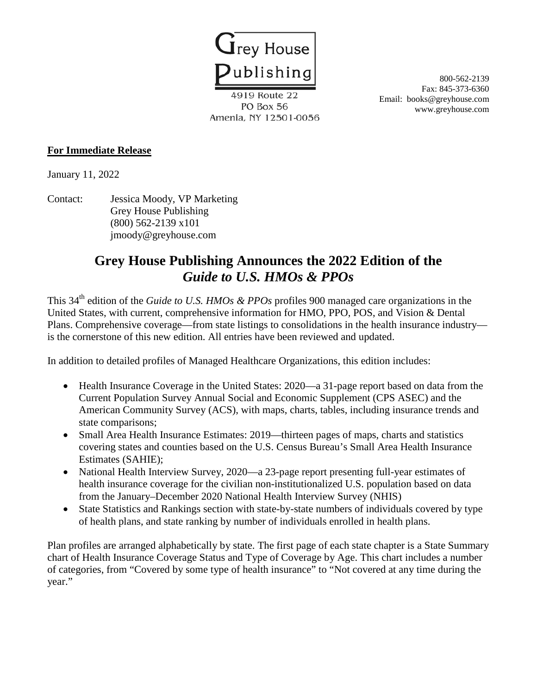

4919 Route 22 PO Box 56 Amenia, NY 12501-0056

 800-562-2139 Fax: 845-373-6360 Email: books@greyhouse.com www.greyhouse.com

## **For Immediate Release**

January 11, 2022

Contact: Jessica Moody, VP Marketing Grey House Publishing (800) 562-2139 x101 jmoody@greyhouse.com

## **Grey House Publishing Announces the 2022 Edition of the** *Guide to U.S. HMOs & PPOs*

This 34th edition of the *Guide to U.S. HMOs & PPOs* profiles 900 managed care organizations in the United States, with current, comprehensive information for HMO, PPO, POS, and Vision & Dental Plans. Comprehensive coverage—from state listings to consolidations in the health insurance industry is the cornerstone of this new edition. All entries have been reviewed and updated.

In addition to detailed profiles of Managed Healthcare Organizations, this edition includes:

- Health Insurance Coverage in the United States: 2020—a 31-page report based on data from the Current Population Survey Annual Social and Economic Supplement (CPS ASEC) and the American Community Survey (ACS), with maps, charts, tables, including insurance trends and state comparisons;
- Small Area Health Insurance Estimates: 2019—thirteen pages of maps, charts and statistics covering states and counties based on the U.S. Census Bureau's Small Area Health Insurance Estimates (SAHIE);
- National Health Interview Survey, 2020—a 23-page report presenting full-year estimates of health insurance coverage for the civilian non-institutionalized U.S. population based on data from the January–December 2020 National Health Interview Survey (NHIS)
- State Statistics and Rankings section with state-by-state numbers of individuals covered by type of health plans, and state ranking by number of individuals enrolled in health plans.

Plan profiles are arranged alphabetically by state. The first page of each state chapter is a State Summary chart of Health Insurance Coverage Status and Type of Coverage by Age. This chart includes a number of categories, from "Covered by some type of health insurance" to "Not covered at any time during the year."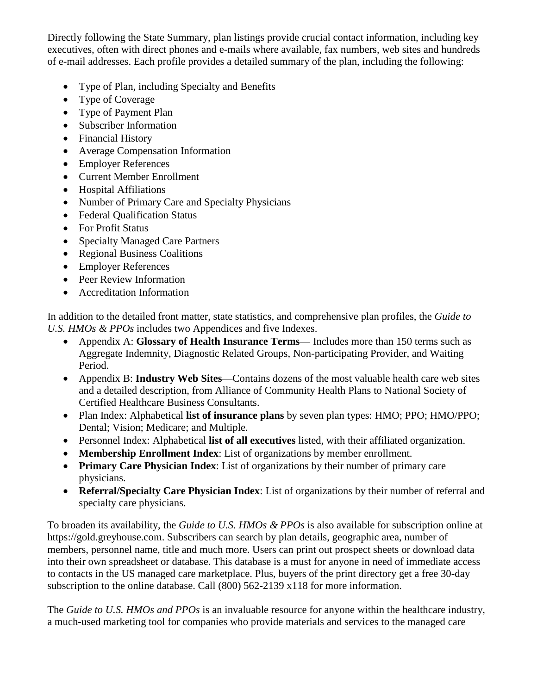Directly following the State Summary, plan listings provide crucial contact information, including key executives, often with direct phones and e-mails where available, fax numbers, web sites and hundreds of e-mail addresses. Each profile provides a detailed summary of the plan, including the following:

- Type of Plan, including Specialty and Benefits
- Type of Coverage
- Type of Payment Plan
- Subscriber Information
- Financial History
- Average Compensation Information
- Employer References
- Current Member Enrollment
- Hospital Affiliations
- Number of Primary Care and Specialty Physicians
- Federal Qualification Status
- For Profit Status
- Specialty Managed Care Partners
- Regional Business Coalitions
- Employer References
- Peer Review Information
- Accreditation Information

In addition to the detailed front matter, state statistics, and comprehensive plan profiles, the *Guide to U.S. HMOs & PPOs* includes two Appendices and five Indexes.

- Appendix A: **Glossary of Health Insurance Terms** Includes more than 150 terms such as Aggregate Indemnity, Diagnostic Related Groups, Non-participating Provider, and Waiting Period.
- Appendix B: **Industry Web Sites**—Contains dozens of the most valuable health care web sites and a detailed description, from Alliance of Community Health Plans to National Society of Certified Healthcare Business Consultants.
- Plan Index: Alphabetical **list of insurance plans** by seven plan types: HMO; PPO; HMO/PPO; Dental; Vision; Medicare; and Multiple.
- Personnel Index: Alphabetical **list of all executives** listed, with their affiliated organization.
- **Membership Enrollment Index**: List of organizations by member enrollment.
- **Primary Care Physician Index**: List of organizations by their number of primary care physicians.
- **Referral/Specialty Care Physician Index**: List of organizations by their number of referral and specialty care physicians.

To broaden its availability, the *Guide to U.S. HMOs & PPOs* is also available for subscription online at https://gold.greyhouse.com. Subscribers can search by plan details, geographic area, number of members, personnel name, title and much more. Users can print out prospect sheets or download data into their own spreadsheet or database. This database is a must for anyone in need of immediate access to contacts in the US managed care marketplace. Plus, buyers of the print directory get a free 30-day subscription to the online database. Call (800) 562-2139 x118 for more information.

The *Guide to U.S. HMOs and PPOs* is an invaluable resource for anyone within the healthcare industry, a much-used marketing tool for companies who provide materials and services to the managed care